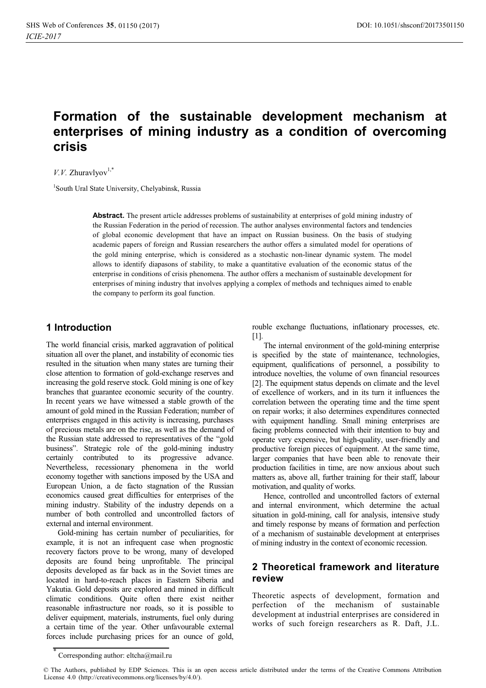# **Formation of the sustainable development mechanism at enterprises of mining industry as a condition of overcoming crisis**

### $V. V.$  Zhuravlyov<sup>1,\*</sup>

1 South Ural State University, Chelyabinsk, Russia

**Abstract.** The present article addresses problems of sustainability at enterprises of gold mining industry of the Russian Federation in the period of recession. The author analyses environmental factors and tendencies of global economic development that have an impact on Russian business. On the basis of studying academic papers of foreign and Russian researchers the author offers a simulated model for operations of the gold mining enterprise, which is considered as a stochastic non-linear dynamic system. The model allows to identify diapasons of stability, to make a quantitative evaluation of the economic status of the enterprise in conditions of crisis phenomena. The author offers a mechanism of sustainable development for enterprises of mining industry that involves applying a complex of methods and techniques aimed to enable the company to perform its goal function.

#### **1 Introduction**

The world financial crisis, marked aggravation of political situation all over the planet, and instability of economic ties resulted in the situation when many states are turning their close attention to formation of gold-exchange reserves and increasing the gold reserve stock. Gold mining is one of key branches that guarantee economic security of the country. In recent years we have witnessed a stable growth of the amount of gold mined in the Russian Federation; number of enterprises engaged in this activity is increasing, purchases of precious metals are on the rise, as well as the demand of the Russian state addressed to representatives of the "gold business". Strategic role of the gold-mining industry certainly contributed to its progressive advance. Nevertheless, recessionary phenomena in the world economy together with sanctions imposed by the USA and European Union, a de facto stagnation of the Russian economics caused great difficulties for enterprises of the mining industry. Stability of the industry depends on a number of both controlled and uncontrolled factors of external and internal environment.

Gold-mining has certain number of peculiarities, for example, it is not an infrequent case when prognostic recovery factors prove to be wrong, many of developed deposits are found being unprofitable. The principal deposits developed as far back as in the Soviet times are located in hard-to-reach places in Eastern Siberia and Yakutia. Gold deposits are explored and mined in difficult climatic conditions. Quite often there exist neither reasonable infrastructure nor roads, so it is possible to deliver equipment, materials, instruments, fuel only during a certain time of the year. Other unfavourable external forces include purchasing prices for an ounce of gold,

rouble exchange fluctuations, inflationary processes, etc. [1].

The internal environment of the gold-mining enterprise is specified by the state of maintenance, technologies, equipment, qualifications of personnel, a possibility to introduce novelties, the volume of own financial resources [2]. The equipment status depends on climate and the level of excellence of workers, and in its turn it influences the correlation between the operating time and the time spent on repair works; it also determines expenditures connected with equipment handling. Small mining enterprises are facing problems connected with their intention to buy and operate very expensive, but high-quality, user-friendly and productive foreign pieces of equipment. At the same time, larger companies that have been able to renovate their production facilities in time, are now anxious about such matters as, above all, further training for their staff, labour motivation, and quality of works.

Hence, controlled and uncontrolled factors of external and internal environment, which determine the actual situation in gold-mining, call for analysis, intensive study and timely response by means of formation and perfection of a mechanism of sustainable development at enterprises of mining industry in the context of economic recession.

## **2 Theoretical framework and literature review**

Theoretic aspects of development, formation and perfection of the mechanism of sustainable development at industrial enterprises are considered in works of such foreign researchers as R. Daft, J.L.

<sup>\*</sup> Corresponding author: eltcha@mail.ru

<sup>©</sup> The Authors, published by EDP Sciences. This is an open access article distributed under the terms of the Creative Commons Attribution License 4.0 (http://creativecommons.org/licenses/by/4.0/).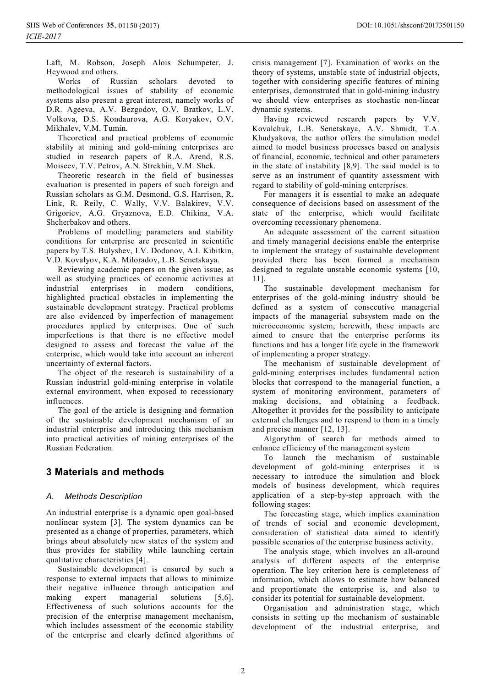Laft, M. Robson, Joseph Alois Schumpeter, J. Heywood and others.

Works of Russian scholars devoted to methodological issues of stability of economic systems also present a great interest, namely works of D.R. Ageeva, A.V. Bezgodov, O.V. Bratkov, L.V. Volkova, D.S. Kondaurova, A.G. Koryakov, O.V. Mikhalev, V.M. Tumin.

Theoretical and practical problems of economic stability at mining and gold-mining enterprises are studied in research papers of R.A. Arend, R.S. Moiseev, T.V. Petrov, A.N. Strekhin, V.M. Shek.

Theoretic research in the field of businesses evaluation is presented in papers of such foreign and Russian scholars as G.M. Desmond, G.S. Harrison, R. Link, R. Reily, C. Wally, V.V. Balakirev, V.V. Grigoriev, A.G. Gryaznova, E.D. Chikina, V.A. Shcherbakov and others.

Problems of modelling parameters and stability conditions for enterprise are presented in scientific papers by T.S. Bulyshev, I.V. Dodonov, A.I. Kibitkin, V.D. Kovalyov, K.A. Miloradov, L.B. Senetskaya.

Reviewing academic papers on the given issue, as well as studying practices of economic activities at industrial enterprises in modern conditions, highlighted practical obstacles in implementing the sustainable development strategy. Practical problems are also evidenced by imperfection of management procedures applied by enterprises. One of such imperfections is that there is no effective model designed to assess and forecast the value of the enterprise, which would take into account an inherent uncertainty of external factors.

The object of the research is sustainability of a Russian industrial gold-mining enterprise in volatile external environment, when exposed to recessionary influences.

The goal of the article is designing and formation of the sustainable development mechanism of an industrial enterprise and introducing this mechanism into practical activities of mining enterprises of the Russian Federation.

## **3 Materials and methods**

#### *A. Methods Description*

An industrial enterprise is a dynamic open goal-based nonlinear system [3]. The system dynamics can be presented as a change of properties, parameters, which brings about absolutely new states of the system and thus provides for stability while launching certain qualitative characteristics [4].

Sustainable development is ensured by such a response to external impacts that allows to minimize their negative influence through anticipation and making expert managerial solutions [5,6]. Effectiveness of such solutions accounts for the precision of the enterprise management mechanism, which includes assessment of the economic stability of the enterprise and clearly defined algorithms of crisis management [7]. Examination of works on the theory of systems, unstable state of industrial objects, together with considering specific features of mining enterprises, demonstrated that in gold-mining industry we should view enterprises as stochastic non-linear dynamic systems.

Having reviewed research papers by V.V. Kovalchuk, L.B. Senetskaya, A.V. Shmidt, T.A. Khudyakova, the author offers the simulation model aimed to model business processes based on analysis of financial, economic, technical and other parameters in the state of instability [8,9]. The said model is to serve as an instrument of quantity assessment with regard to stability of gold-mining enterprises.

For managers it is essential to make an adequate consequence of decisions based on assessment of the state of the enterprise, which would facilitate overcoming recessionary phenomena.

An adequate assessment of the current situation and timely managerial decisions enable the enterprise to implement the strategy of sustainable development provided there has been formed a mechanism designed to regulate unstable economic systems [10, 11].

The sustainable development mechanism for enterprises of the gold-mining industry should be defined as a system of consecutive managerial impacts of the managerial subsystem made on the microeconomic system; herewith, these impacts are aimed to ensure that the enterprise performs its functions and has a longer life cycle in the framework of implementing a proper strategy.

The mechanism of sustainable development of gold-mining enterprises includes fundamental action blocks that correspond to the managerial function, a system of monitoring environment, parameters of making decisions, and obtaining a feedback. Altogether it provides for the possibility to anticipate external challenges and to respond to them in a timely and precise manner [12, 13].

Algorythm of search for methods aimed to enhance efficiency of the management system

To launch the mechanism of sustainable development of gold-mining enterprises it is necessary to introduce the simulation and block models of business development, which requires application of a step-by-step approach with the following stages:

The forecasting stage, which implies examination of trends of social and economic development, consideration of statistical data aimed to identify possible scenarios of the enterprise business activity.

The analysis stage, which involves an all-around analysis of different aspects of the enterprise operation. The key criterion here is completeness of information, which allows to estimate how balanced and proportionate the enterprise is, and also to consider its potential for sustainable development.

Organisation and administration stage, which consists in setting up the mechanism of sustainable development of the industrial enterprise, and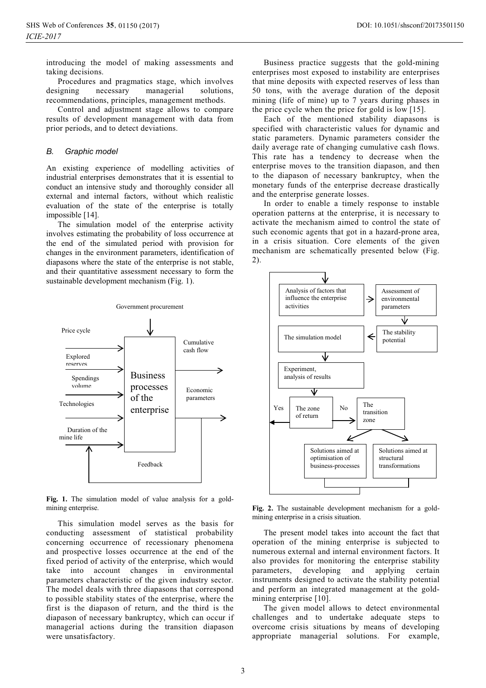introducing the model of making assessments and taking decisions.

Procedures and pragmatics stage, which involves designing necessary managerial solutions, recommendations, principles, management methods.

Control and adjustment stage allows to compare results of development management with data from prior periods, and to detect deviations.

#### *B. Graphic model*

An existing experience of modelling activities of industrial enterprises demonstrates that it is essential to conduct an intensive study and thoroughly consider all external and internal factors, without which realistic evaluation of the state of the enterprise is totally impossible [14].

The simulation model of the enterprise activity involves estimating the probability of loss occurrence at the end of the simulated period with provision for changes in the environment parameters, identification of diapasons where the state of the enterprise is not stable, and their quantitative assessment necessary to form the sustainable development mechanism (Fig. 1).



**Fig. 1.** The simulation model of value analysis for a goldmining enterprise.

This simulation model serves as the basis for conducting assessment of statistical probability concerning occurrence of recessionary phenomena and prospective losses occurrence at the end of the fixed period of activity of the enterprise, which would take into account changes in environmental parameters characteristic of the given industry sector. The model deals with three diapasons that correspond to possible stability states of the enterprise, where the first is the diapason of return, and the third is the diapason of necessary bankruptcy, which can occur if managerial actions during the transition diapason were unsatisfactory.

Business practice suggests that the gold-mining enterprises most exposed to instability are enterprises that mine deposits with expected reserves of less than 50 tons, with the average duration of the deposit mining (life of mine) up to 7 years during phases in the price cycle when the price for gold is low [15].

Each of the mentioned stability diapasons is specified with characteristic values for dynamic and static parameters. Dynamic parameters consider the daily average rate of changing cumulative cash flows. This rate has a tendency to decrease when the enterprise moves to the transition diapason, and then to the diapason of necessary bankruptcy, when the monetary funds of the enterprise decrease drastically and the enterprise generate losses.

In order to enable a timely response to instable operation patterns at the enterprise, it is necessary to activate the mechanism aimed to control the state of such economic agents that got in a hazard-prone area, in a crisis situation. Core elements of the given mechanism are schematically presented below (Fig. 2).



**Fig. 2.** The sustainable development mechanism for a goldmining enterprise in a crisis situation.

The present model takes into account the fact that operation of the mining enterprise is subjected to numerous external and internal environment factors. It also provides for monitoring the enterprise stability parameters, developing and applying certain instruments designed to activate the stability potential and perform an integrated management at the goldmining enterprise [10].

The given model allows to detect environmental challenges and to undertake adequate steps to overcome crisis situations by means of developing appropriate managerial solutions. For example,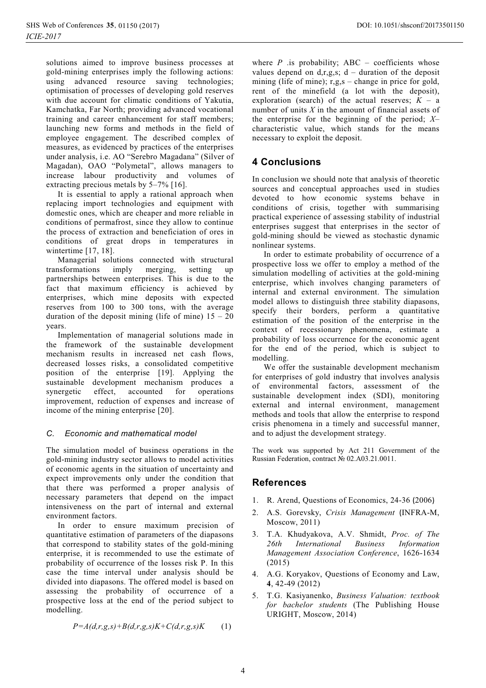solutions aimed to improve business processes at gold-mining enterprises imply the following actions: using advanced resource saving technologies; optimisation of processes of developing gold reserves with due account for climatic conditions of Yakutia, Kamchatka, Far North; providing advanced vocational training and career enhancement for staff members; launching new forms and methods in the field of employee engagement. The described complex of measures, as evidenced by practices of the enterprises under analysis, i.e. AO "Serebro Magadana" (Silver of Magadan), OAO "Polymetal", allows managers to increase labour productivity and volumes of extracting precious metals by 5–7% [16].

It is essential to apply a rational approach when replacing import technologies and equipment with domestic ones, which are cheaper and more reliable in conditions of permafrost, since they allow to continue the process of extraction and beneficiation of ores in conditions of great drops in temperatures in wintertime [17, 18].

Managerial solutions connected with structural transformations imply merging, setting up partnerships between enterprises. This is due to the fact that maximum efficiency is achieved by enterprises, which mine deposits with expected reserves from 100 to 300 tons, with the average duration of the deposit mining (life of mine)  $15 - 20$ years.

Implementation of managerial solutions made in the framework of the sustainable development mechanism results in increased net cash flows, decreased losses risks, a consolidated competitive position of the enterprise [19]. Applying the sustainable development mechanism produces a synergetic effect, accounted for operations improvement, reduction of expenses and increase of income of the mining enterprise [20].

#### *C. Economic and mathematical model*

The simulation model of business operations in the gold-mining industry sector allows to model activities of economic agents in the situation of uncertainty and expect improvements only under the condition that that there was performed a proper analysis of necessary parameters that depend on the impact intensiveness on the part of internal and external environment factors.

In order to ensure maximum precision of quantitative estimation of parameters of the diapasons that correspond to stability states of the gold-mining enterprise, it is recommended to use the estimate of probability of occurrence of the losses risk P. In this case the time interval under analysis should be divided into diapasons. The offered model is based on assessing the probability of occurrence of a prospective loss at the end of the period subject to modelling.

$$
P=A(d,r,g,s)+B(d,r,g,s)K+C(d,r,g,s)K\qquad(1)
$$

where  $P$  is probability; ABC – coefficients whose values depend on d,r,g,s;  $d -$  duration of the deposit mining (life of mine);  $r,g,s$  – change in price for gold, rent of the minefield (a lot with the deposit), exploration (search) of the actual reserves;  $K - a$ number of units *X* in the amount of financial assets of the enterprise for the beginning of the period; *X*– characteristic value, which stands for the means necessary to exploit the deposit.

## **4 Conclusions**

In conclusion we should note that analysis of theoretic sources and conceptual approaches used in studies devoted to how economic systems behave in conditions of crisis, together with summarising practical experience of assessing stability of industrial enterprises suggest that enterprises in the sector of gold-mining should be viewed as stochastic dynamic nonlinear systems.

In order to estimate probability of occurrence of a prospective loss we offer to employ a method of the simulation modelling of activities at the gold-mining enterprise, which involves changing parameters of internal and external environment. The simulation model allows to distinguish three stability diapasons, specify their borders, perform a quantitative estimation of the position of the enterprise in the context of recessionary phenomena, estimate a probability of loss occurrence for the economic agent for the end of the period, which is subject to modelling.

We offer the sustainable development mechanism for enterprises of gold industry that involves analysis of environmental factors, assessment of the sustainable development index (SDI), monitoring external and internal environment, management methods and tools that allow the enterprise to respond crisis phenomena in a timely and successful manner, and to adjust the development strategy.

The work was supported by Act 211 Government of the Russian Federation, contract Nº 02.A03.21.0011.

## **References**

- 1. R. Arend, Questions of Economics, 24-36 (2006)
- 2. A.S. Gorevsky, *Crisis Management* (INFRA-M, Moscow, 2011)
- 3. T.A. Khudyakova, A.V. Shmidt, *Proc. of The 26th International Business Information Management Association Conference*, 1626-1634 (2015)
- 4. A.G. Koryakov, Questions of Economy and Law, **4**, 42-49 (2012)
- 5. T.G. Kasiyanenko, *Business Valuation: textbook for bachelor students* (The Publishing House URIGHT, Moscow, 2014)